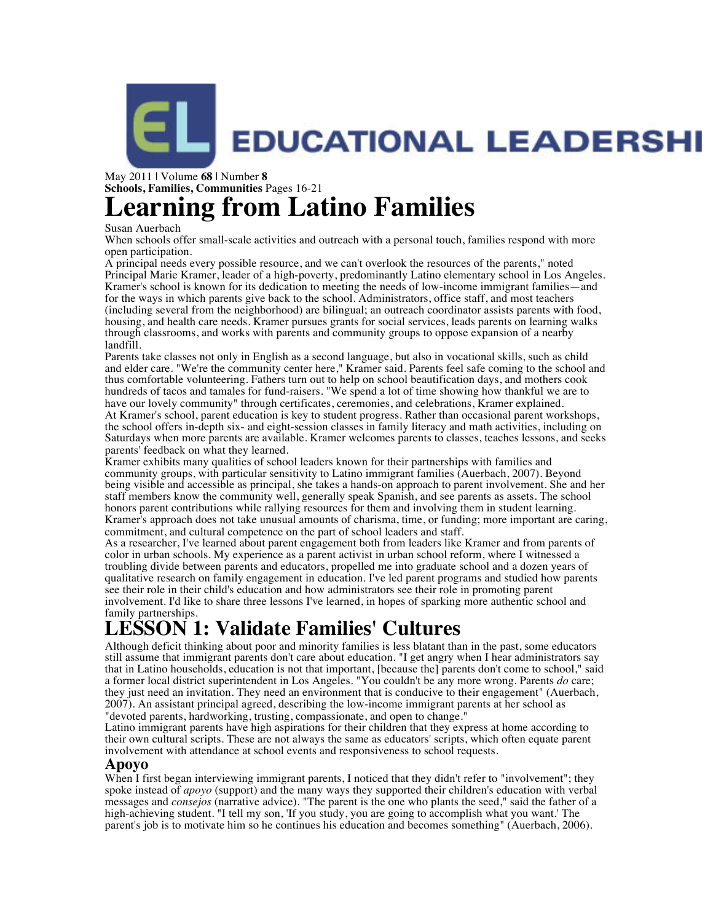

#### May 2011 | Volume **68** | Number **8 Schools, Families, Communities** Pages 16-21 **Learning from Latino Families**

#### Susan Auerbach

When schools offer small-scale activities and outreach with a personal touch, families respond with more open participation.

A principal needs every possible resource, and we can't overlook the resources of the parents," noted Principal Marie Kramer, leader of a high-poverty, predominantly Latino elementary school in Los Angeles. Kramer's school is known for its dedication to meeting the needs of low-income immigrant families—and for the ways in which parents give back to the school. Administrators, office staff, and most teachers (including several from the neighborhood) are bilingual; an outreach coordinator assists parents with food, housing, and health care needs. Kramer pursues grants for social services, leads parents on learning walks through classrooms, and works with parents and community groups to oppose expansion of a nearby landfill.

Parents take classes not only in English as a second language, but also in vocational skills, such as child and elder care. "We're the community center here," Kramer said. Parents feel safe coming to the school and thus comfortable volunteering. Fathers turn out to help on school beautification days, and mothers cook hundreds of tacos and tamales for fund-raisers. "We spend a lot of time showing how thankful we are to have our lovely community" through certificates, ceremonies, and celebrations, Kramer explained. At Kramer's school, parent education is key to student progress. Rather than occasional parent workshops, the school offers in-depth six- and eight-session classes in family literacy and math activities, including on Saturdays when more parents are available. Kramer welcomes parents to classes, teaches lessons, and seeks parents' feedback on what they learned.

Kramer exhibits many qualities of school leaders known for their partnerships with families and community groups, with particular sensitivity to Latino immigrant families (Auerbach, 2007). Beyond being visible and accessible as principal, she takes a hands-on approach to parent involvement. She and her staff members know the community well, generally speak Spanish, and see parents as assets. The school honors parent contributions while rallying resources for them and involving them in student learning. Kramer's approach does not take unusual amounts of charisma, time, or funding; more important are caring, commitment, and cultural competence on the part of school leaders and staff.

As a researcher, I've learned about parent engagement both from leaders like Kramer and from parents of color in urban schools. My experience as a parent activist in urban school reform, where I witnessed a troubling divide between parents and educators, propelled me into graduate school and a dozen years of qualitative research on family engagement in education. I've led parent programs and studied how parents see their role in their child's education and how administrators see their role in promoting parent involvement. I'd like to share three lessons I've learned, in hopes of sparking more authentic school and family partnerships.

# **LESSON 1: Validate Families' Cultures**

Although deficit thinking about poor and minority families is less blatant than in the past, some educators still assume that immigrant parents don't care about education. "I get angry when I hear administrators say that in Latino households, education is not that important, [because the] parents don't come to school," said a former local district superintendent in Los Angeles. "You couldn't be any more wrong. Parents *do* care; they just need an invitation. They need an environment that is conducive to their engagement" (Auerbach, 2007). An assistant principal agreed, describing the low-income immigrant parents at her school as "devoted parents, hardworking, trusting, compassionate, and open to change."

Latino immigrant parents have high aspirations for their children that they express at home according to their own cultural scripts. These are not always the same as educators' scripts, which often equate parent involvement with attendance at school events and responsiveness to school requests.

#### **Apoyo**

When I first began interviewing immigrant parents, I noticed that they didn't refer to "involvement"; they spoke instead of *apoyo* (support) and the many ways they supported their children's education with verbal messages and *consejos* (narrative advice). "The parent is the one who plants the seed," said the father of a high-achieving student. "I tell my son, 'If you study, you are going to accomplish what you want.' The parent's job is to motivate him so he continues his education and becomes something" (Auerbach, 2006).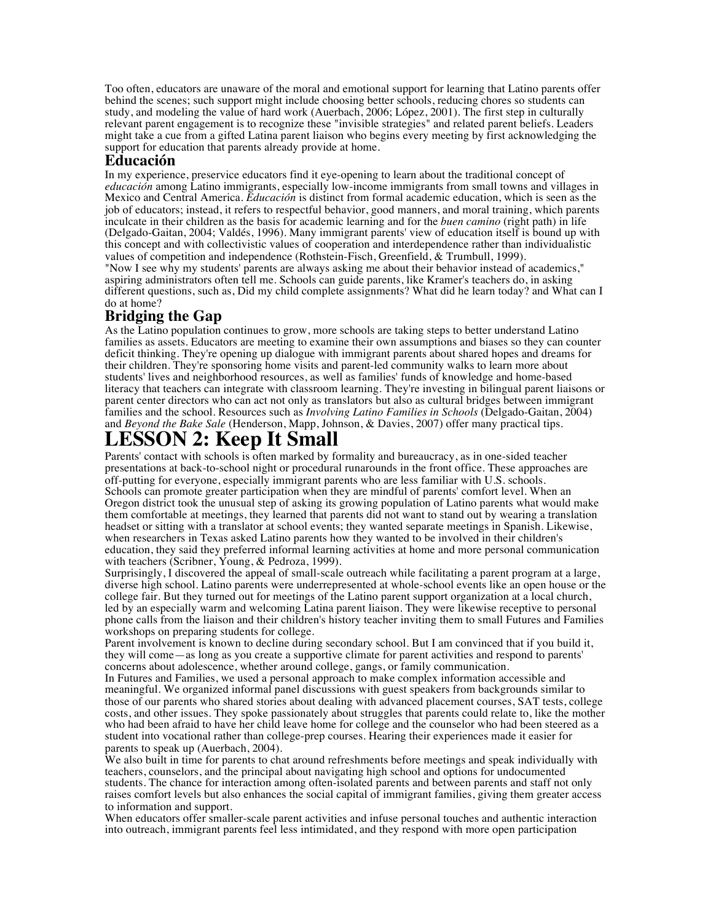Too often, educators are unaware of the moral and emotional support for learning that Latino parents offer behind the scenes; such support might include choosing better schools, reducing chores so students can study, and modeling the value of hard work (Auerbach, 2006; López, 2001). The first step in culturally relevant parent engagement is to recognize these "invisible strategies" and related parent beliefs. Leaders might take a cue from a gifted Latina parent liaison who begins every meeting by first acknowledging the support for education that parents already provide at home.

#### **Educación**

In my experience, preservice educators find it eye-opening to learn about the traditional concept of *educación* among Latino immigrants, especially low-income immigrants from small towns and villages in Mexico and Central America. *Educación* is distinct from formal academic education, which is seen as the job of educators; instead, it refers to respectful behavior, good manners, and moral training, which parents inculcate in their children as the basis for academic learning and for the *buen camino* (right path) in life (Delgado-Gaitan, 2004; Valdés, 1996). Many immigrant parents' view of education itself is bound up with this concept and with collectivistic values of cooperation and interdependence rather than individualistic values of competition and independence (Rothstein-Fisch, Greenfield, & Trumbull, 1999).

"Now I see why my students' parents are always asking me about their behavior instead of academics," aspiring administrators often tell me. Schools can guide parents, like Kramer's teachers do, in asking different questions, such as, Did my child complete assignments? What did he learn today? and What can I do at home?

### **Bridging the Gap**

As the Latino population continues to grow, more schools are taking steps to better understand Latino families as assets. Educators are meeting to examine their own assumptions and biases so they can counter deficit thinking. They're opening up dialogue with immigrant parents about shared hopes and dreams for their children. They're sponsoring home visits and parent-led community walks to learn more about students' lives and neighborhood resources, as well as families' funds of knowledge and home-based literacy that teachers can integrate with classroom learning. They're investing in bilingual parent liaisons or parent center directors who can act not only as translators but also as cultural bridges between immigrant families and the school. Resources such as *Involving Latino Families in Schools* (Delgado-Gaitan, 2004) and *Beyond the Bake Sale* (Henderson, Mapp, Johnson, & Davies, 2007) offer many practical tips.

## **LESSON 2: Keep It Small**

Parents' contact with schools is often marked by formality and bureaucracy, as in one-sided teacher presentations at back-to-school night or procedural runarounds in the front office. These approaches are off-putting for everyone, especially immigrant parents who are less familiar with U.S. schools. Schools can promote greater participation when they are mindful of parents' comfort level. When an Oregon district took the unusual step of asking its growing population of Latino parents what would make them comfortable at meetings, they learned that parents did not want to stand out by wearing a translation headset or sitting with a translator at school events; they wanted separate meetings in Spanish. Likewise, when researchers in Texas asked Latino parents how they wanted to be involved in their children's education, they said they preferred informal learning activities at home and more personal communication with teachers (Scribner, Young, & Pedroza, 1999).

Surprisingly, I discovered the appeal of small-scale outreach while facilitating a parent program at a large, diverse high school. Latino parents were underrepresented at whole-school events like an open house or the college fair. But they turned out for meetings of the Latino parent support organization at a local church, led by an especially warm and welcoming Latina parent liaison. They were likewise receptive to personal phone calls from the liaison and their children's history teacher inviting them to small Futures and Families workshops on preparing students for college.

Parent involvement is known to decline during secondary school. But I am convinced that if you build it, they will come—as long as you create a supportive climate for parent activities and respond to parents' concerns about adolescence, whether around college, gangs, or family communication.

In Futures and Families, we used a personal approach to make complex information accessible and meaningful. We organized informal panel discussions with guest speakers from backgrounds similar to those of our parents who shared stories about dealing with advanced placement courses, SAT tests, college costs, and other issues. They spoke passionately about struggles that parents could relate to, like the mother who had been afraid to have her child leave home for college and the counselor who had been steered as a student into vocational rather than college-prep courses. Hearing their experiences made it easier for parents to speak up (Auerbach, 2004).

We also built in time for parents to chat around refreshments before meetings and speak individually with teachers, counselors, and the principal about navigating high school and options for undocumented students. The chance for interaction among often-isolated parents and between parents and staff not only raises comfort levels but also enhances the social capital of immigrant families, giving them greater access to information and support.

When educators offer smaller-scale parent activities and infuse personal touches and authentic interaction into outreach, immigrant parents feel less intimidated, and they respond with more open participation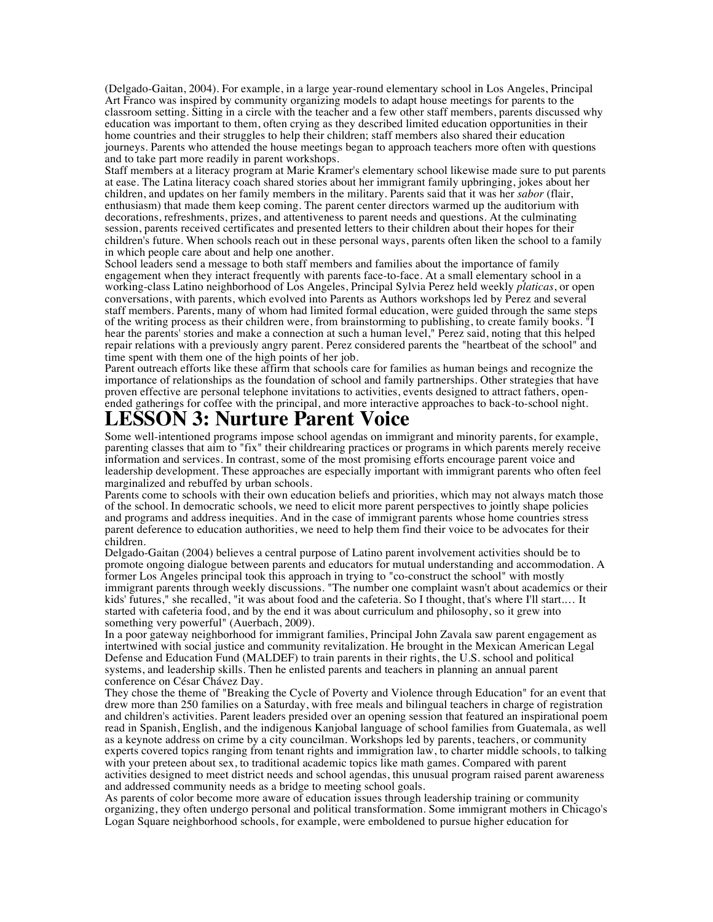(Delgado-Gaitan, 2004). For example, in a large year-round elementary school in Los Angeles, Principal Art Franco was inspired by community organizing models to adapt house meetings for parents to the classroom setting. Sitting in a circle with the teacher and a few other staff members, parents discussed why education was important to them, often crying as they described limited education opportunities in their home countries and their struggles to help their children; staff members also shared their education journeys. Parents who attended the house meetings began to approach teachers more often with questions and to take part more readily in parent workshops.

Staff members at a literacy program at Marie Kramer's elementary school likewise made sure to put parents at ease. The Latina literacy coach shared stories about her immigrant family upbringing, jokes about her children, and updates on her family members in the military. Parents said that it was her *sabor* (flair, enthusiasm) that made them keep coming. The parent center directors warmed up the auditorium with decorations, refreshments, prizes, and attentiveness to parent needs and questions. At the culminating session, parents received certificates and presented letters to their children about their hopes for their children's future. When schools reach out in these personal ways, parents often liken the school to a family in which people care about and help one another.

School leaders send a message to both staff members and families about the importance of family engagement when they interact frequently with parents face-to-face. At a small elementary school in a working-class Latino neighborhood of Los Angeles, Principal Sylvia Perez held weekly *platicas*, or open conversations, with parents, which evolved into Parents as Authors workshops led by Perez and several staff members. Parents, many of whom had limited formal education, were guided through the same steps of the writing process as their children were, from brainstorming to publishing, to create family books. "I hear the parents' stories and make a connection at such a human level," Perez said, noting that this helped repair relations with a previously angry parent. Perez considered parents the "heartbeat of the school" and time spent with them one of the high points of her job.

Parent outreach efforts like these affirm that schools care for families as human beings and recognize the importance of relationships as the foundation of school and family partnerships. Other strategies that have proven effective are personal telephone invitations to activities, events designed to attract fathers, openended gatherings for coffee with the principal, and more interactive approaches to back-to-school night.

### **LESSON 3: Nurture Parent Voice**

Some well-intentioned programs impose school agendas on immigrant and minority parents, for example, parenting classes that aim to "fix" their childrearing practices or programs in which parents merely receive information and services. In contrast, some of the most promising efforts encourage parent voice and leadership development. These approaches are especially important with immigrant parents who often feel marginalized and rebuffed by urban schools.

Parents come to schools with their own education beliefs and priorities, which may not always match those of the school. In democratic schools, we need to elicit more parent perspectives to jointly shape policies and programs and address inequities. And in the case of immigrant parents whose home countries stress parent deference to education authorities, we need to help them find their voice to be advocates for their children.

Delgado-Gaitan (2004) believes a central purpose of Latino parent involvement activities should be to promote ongoing dialogue between parents and educators for mutual understanding and accommodation. A former Los Angeles principal took this approach in trying to "co-construct the school" with mostly immigrant parents through weekly discussions. "The number one complaint wasn't about academics or their kids' futures," she recalled, "it was about food and the cafeteria. So I thought, that's where I'll start.… It started with cafeteria food, and by the end it was about curriculum and philosophy, so it grew into something very powerful" (Auerbach, 2009).

In a poor gateway neighborhood for immigrant families, Principal John Zavala saw parent engagement as intertwined with social justice and community revitalization. He brought in the Mexican American Legal Defense and Education Fund (MALDEF) to train parents in their rights, the U.S. school and political systems, and leadership skills. Then he enlisted parents and teachers in planning an annual parent conference on César Chávez Day.

They chose the theme of "Breaking the Cycle of Poverty and Violence through Education" for an event that drew more than 250 families on a Saturday, with free meals and bilingual teachers in charge of registration and children's activities. Parent leaders presided over an opening session that featured an inspirational poem read in Spanish, English, and the indigenous Kanjobal language of school families from Guatemala, as well as a keynote address on crime by a city councilman. Workshops led by parents, teachers, or community experts covered topics ranging from tenant rights and immigration law, to charter middle schools, to talking with your preteen about sex, to traditional academic topics like math games. Compared with parent activities designed to meet district needs and school agendas, this unusual program raised parent awareness and addressed community needs as a bridge to meeting school goals.

As parents of color become more aware of education issues through leadership training or community organizing, they often undergo personal and political transformation. Some immigrant mothers in Chicago's Logan Square neighborhood schools, for example, were emboldened to pursue higher education for